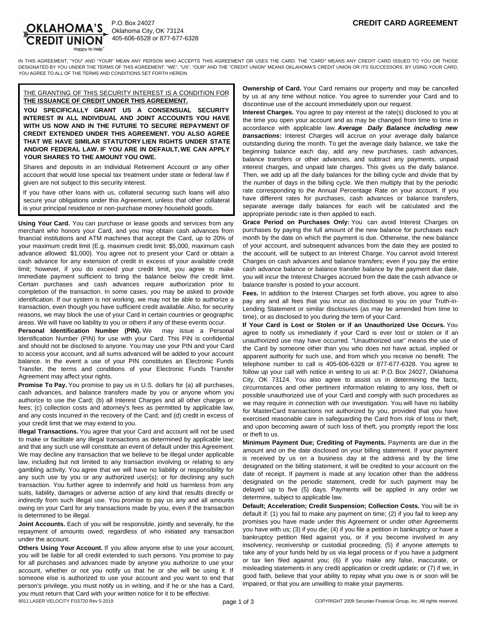

P.O. Box 24027 405-606-6528 or 877-677-6328

IN THIS AGREEMENT, "YOU" AND "YOUR" MEAN ANY PERSON WHO ACCEPTS THIS AGREEMENT OR USES THE CARD. THE "CARD" MEANS ANY CREDIT CARD ISSUED TO YOU OR THOSE DESIGNATED BY YOU UNDER THE TERMS OF THIS AGREEMENT. "WE", "US", "OUR" AND THE "CREDIT UNION" MEANS OKLAHOMA'S CREDIT UNION OR ITS SUCCESSORS. BY USING YOUR CARD, YOU AGREE TO ALL OF THE TERMS AND CONDITIONS SET FORTH HEREIN.

#### THE GRANTING OF THIS SECURITY INTEREST IS A CONDITION FOR **THE ISSUANCE OF CREDIT UNDER THIS AGREEMENT.**

**YOU SPECIFICALLY GRANT US A CONSENSUAL SECURITY INTEREST IN ALL INDIVIDUAL AND JOINT ACCOUNTS YOU HAVE WITH US NOW AND IN THE FUTURE TO SECURE REPAYMENT OF CREDIT EXTENDED UNDER THIS AGREEMENT. YOU ALSO AGREE THAT WE HAVE SIMILAR STATUTORY LIEN RIGHTS UNDER STATE AND/OR FEDERAL LAW. IF YOU ARE IN DEFAULT, WE CAN APPLY YOUR SHARES TO THE AMOUNT YOU OWE.**

Shares and deposits in an Individual Retirement Account or any other account that would lose special tax treatment under state or federal law if given are not subject to this security interest.

If you have other loans with us, collateral securing such loans will also secure your obligations under this Agreement, unless that other collateral is your principal residence or non-purchase money household goods.

**Using Your Card.** You can purchase or lease goods and services from any merchant who honors your Card, and you may obtain cash advances from financial institutions and ATM machines that accept the Card, up to 20% of your maximum credit limit (E.g. maximum credit limit: \$5,000, maximum cash advance allowed: \$1,000). You agree not to present your Card or obtain a cash advance for any extension of credit in excess of your available credit limit; however, if you do exceed your credit limit, you agree to make immediate payment sufficient to bring the balance below the credit limit. Certain purchases and cash advances require authorization prior to completion of the transaction. In some cases, you may be asked to provide identification. If our system is not working, we may not be able to authorize a transaction, even though you have sufficient credit available. Also, for security reasons, we may block the use of your Card in certain countries or geographic areas. We will have no liability to you or others if any of these events occur.

**Personal Identification Number (PIN).** We may issue a Personal Identification Number (PIN) for use with your Card. This PIN is confidential and should not be disclosed to anyone. You may use your PIN and your Card to access your account, and all sums advanced will be added to your account balance. In the event a use of your PIN constitutes an Electronic Funds Transfer, the terms and conditions of your Electronic Funds Transfer Agreement may affect your rights.

**Promise To Pay.** You promise to pay us in U.S. dollars for (a) all purchases, cash advances, and balance transfers made by you or anyone whom you authorize to use the Card; (b) all Interest Charges and all other charges or fees; (c) collection costs and attorney's fees as permitted by applicable law, and any costs incurred in the recovery of the Card; and (d) credit in excess of your credit limit that we may extend to you.

I**llegal Transactions.** You agree that your Card and account will not be used to make or facilitate any illegal transactions as determined by applicable law; and that any such use will constitute an event of default under this Agreement. We may decline any transaction that we believe to be illegal under applicable law, including but not limited to any transaction involving or relating to any gambling activity. You agree that we will have no liability or responsibility for any such use by you or any authorized user(s); or for declining any such transaction. You further agree to indemnify and hold us harmless from any suits, liability, damages or adverse action of any kind that results directly or indirectly from such illegal use. You promise to pay us any and all amounts owing on your Card for any transactions made by you, even if the transaction is determined to be illegal.

**Joint Accounts.** Each of you will be responsible, jointly and severally, for the repayment of amounts owed, regardless of who initiated any transaction under the account.

**Others Using Your Account.** If you allow anyone else to use your account, you will be liable for all credit extended to such persons. You promise to pay for all purchases and advances made by anyone you authorize to use your account, whether or not you notify us that he or she will be using it. If someone else is authorized to use your account and you want to end that person's privilege, you must notify us in writing, and if he or she has a Card, you must return that Card with your written notice for it to be effective.

**Ownership of Card.** Your Card remains our property and may be cancelled by us at any time without notice. You agree to surrender your Card and to discontinue use of the account immediately upon our request.

**Interest Charges.** You agree to pay interest at the rate(s) disclosed to you at the time you open your account and as may be changed from time to time in accordance with applicable law. *Average Daily Balance including new transactions***:** Interest Charges will accrue on your average daily balance outstanding during the month. To get the average daily balance, we take the beginning balance each day, add any new purchases, cash advances, balance transfers or other advances, and subtract any payments, unpaid interest charges, and unpaid late charges. This gives us the daily balance. Then, we add up all the daily balances for the billing cycle and divide that by the number of days in the billing cycle. We then multiply that by the periodic rate corresponding to the Annual Percentage Rate on your account. If you have different rates for purchases, cash advances or balance transfers, separate average daily balances for each will be calculated and the appropriate periodic rate is then applied to each.

**Grace Period on Purchases Only:** You can avoid Interest Charges on purchases by paying the full amount of the new balance for purchases each month by the date on which the payment is due. Otherwise, the new balance of your account, and subsequent advances from the date they are posted to the account, will be subject to an Interest Charge. You cannot avoid Interest Charges on cash advances and balance transfers; even if you pay the entire cash advance balance or balance transfer balance by the payment due date, you will incur the Interest Charges accrued from the date the cash advance or balance transfer is posted to your account.

**Fees.** In addition to the Interest Charges set forth above, you agree to also pay any and all fees that you incur as disclosed to you on your Truth-in-Lending Statement or similar disclosures (as may be amended from time to time), or as disclosed to you during the term of your Card.

**If Your Card is Lost or Stolen or if an Unauthorized Use Occurs.** You agree to notify us immediately if your Card is ever lost or stolen or if an unauthorized use may have occurred. "Unauthorized use" means the use of the Card by someone other than you who does not have actual, implied or apparent authority for such use, and from which you receive no benefit. The telephone number to call is 405-606-6328 or 877-677-6328. You agree to follow up your call with notice in writing to us at: P.O. Box 24027, Oklahoma City, OK 73124. You also agree to assist us in determining the facts, circumstances and other pertinent information relating to any loss, theft or possible unauthorized use of your Card and comply with such procedures as we may require in connection with our investigation. You will have no liability for MasterCard transactions not authorized by you, provided that you have exercised reasonable care in safeguarding the Card from risk of loss or theft, and upon becoming aware of such loss of theft, you promptly report the loss or theft to us.

**Minimum Payment Due; Crediting of Payments.** Payments are due in the amount and on the date disclosed on your billing statement. If your payment is received by us on a business day at the address and by the time designated on the billing statement, it will be credited to your account on the date of receipt. If payment is made at any location other than the address designated on the periodic statement, credit for such payment may be delayed up to five (5) days. Payments will be applied in any order we determine, subject to applicable law.

**Default; Acceleration; Credit Suspension; Collection Costs.** You will be in default if: (1) you fail to make any payment on time; (2) if you fail to keep any promises you have made under this Agreement or under other Agreements you have with us; (3) if you die; (4) if you file a petition in bankruptcy or have a bankruptcy petition filed against you, or if you become involved in any insolvency, receivership or custodial proceeding; (5) if anyone attempts to take any of your funds held by us via legal process or if you have a judgment or tax lien filed against you; (6) if you make any false, inaccurate, or misleading statements in any credit application or credit update; or (7) if we, in good faith, believe that your ability to repay what you owe is or soon will be impaired, or that you are unwilling to make your payments.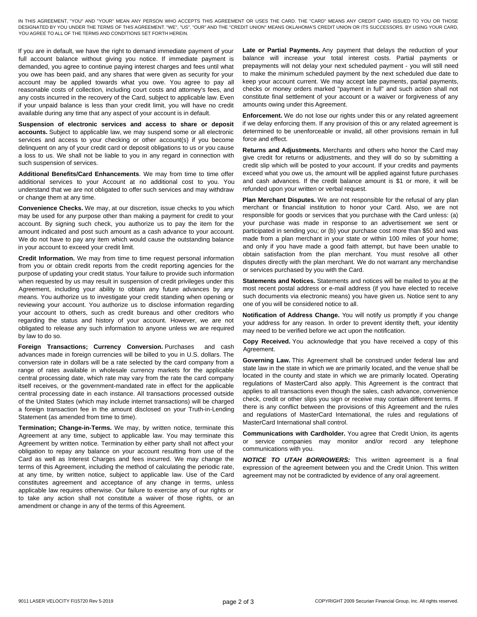IN THIS AGREEMENT, "YOU" AND "YOUR" MEAN ANY PERSON WHO ACCEPTS THIS AGREEMENT OR USES THE CARD. THE "CARD" MEANS ANY CREDIT CARD ISSUED TO YOU OR THOSE DESIGNATED BY YOU UNDER THE TERMS OF THIS AGREEMENT. "WE", "US", "OUR" AND THE "CREDIT UNION" MEANS OKLAHOMA'S CREDIT UNION OR ITS SUCCESSORS. BY USING YOUR CARD, YOU AGREE TO ALL OF THE TERMS AND CONDITIONS SET FORTH HEREIN.

If you are in default, we have the right to demand immediate payment of your full account balance without giving you notice. If immediate payment is demanded, you agree to continue paying interest charges and fees until what you owe has been paid, and any shares that were given as security for your account may be applied towards what you owe. You agree to pay all reasonable costs of collection, including court costs and attorney's fees, and any costs incurred in the recovery of the Card, subject to applicable law. Even if your unpaid balance is less than your credit limit, you will have no credit available during any time that any aspect of your account is in default.

**Suspension of electronic services and access to share or deposit accounts.** Subject to applicable law, we may suspend some or all electronic services and access to your checking or other account(s) if you become delinquent on any of your credit card or deposit obligations to us or you cause a loss to us. We shall not be liable to you in any regard in connection with such suspension of services.

**Additional Benefits/Card Enhancements**. We may from time to time offer additional services to your Account at no additional cost to you. You understand that we are not obligated to offer such services and may withdraw or change them at any time.

**Convenience Checks.** We may, at our discretion, issue checks to you which may be used for any purpose other than making a payment for credit to your account. By signing such check, you authorize us to pay the item for the amount indicated and post such amount as a cash advance to your account. We do not have to pay any item which would cause the outstanding balance in your account to exceed your credit limit.

**Credit Information.** We may from time to time request personal information from you or obtain credit reports from the credit reporting agencies for the purpose of updating your credit status. Your failure to provide such information when requested by us may result in suspension of credit privileges under this Agreement, including your ability to obtain any future advances by any means. You authorize us to investigate your credit standing when opening or reviewing your account. You authorize us to disclose information regarding your account to others, such as credit bureaus and other creditors who regarding the status and history of your account. However, we are not obligated to release any such information to anyone unless we are required by law to do so.

**Foreign Transactions; Currency Conversion.** Purchases and cash advances made in foreign currencies will be billed to you in U.S. dollars. The conversion rate in dollars will be a rate selected by the card company from a range of rates available in wholesale currency markets for the applicable central processing date, which rate may vary from the rate the card company itself receives, or the government-mandated rate in effect for the applicable central processing date in each instance. All transactions processed outside of the United States (which may include internet transactions) will be charged a foreign transaction fee in the amount disclosed on your Truth-in-Lending Statement (as amended from time to time).

**Termination; Change-in-Terms.** We may, by written notice, terminate this Agreement at any time, subject to applicable law. You may terminate this Agreement by written notice. Termination by either party shall not affect your obligation to repay any balance on your account resulting from use of the Card as well as Interest Charges and fees incurred. We may change the terms of this Agreement, including the method of calculating the periodic rate, at any time, by written notice, subject to applicable law. Use of the Card constitutes agreement and acceptance of any change in terms, unless applicable law requires otherwise. Our failure to exercise any of our rights or to take any action shall not constitute a waiver of those rights, or an amendment or change in any of the terms of this Agreement.

Late or Partial Payments. Any payment that delays the reduction of your balance will increase your total interest costs. Partial payments or prepayments will not delay your next scheduled payment - you will still need to make the minimum scheduled payment by the next scheduled due date to keep your account current. We may accept late payments, partial payments, checks or money orders marked "payment in full" and such action shall not constitute final settlement of your account or a waiver or forgiveness of any amounts owing under this Agreement.

**Enforcement.** We do not lose our rights under this or any related agreement if we delay enforcing them. If any provision of this or any related agreement is determined to be unenforceable or invalid, all other provisions remain in full force and effect.

**Returns and Adjustments.** Merchants and others who honor the Card may give credit for returns or adjustments, and they will do so by submitting a credit slip which will be posted to your account. If your credits and payments exceed what you owe us, the amount will be applied against future purchases and cash advances. If the credit balance amount is \$1 or more, it will be refunded upon your written or verbal request.

**Plan Merchant Disputes.** We are not responsible for the refusal of any plan merchant or financial institution to honor your Card. Also, we are not responsible for goods or services that you purchase with the Card unless: (a) your purchase was made in response to an advertisement we sent or participated in sending you; or (b) your purchase cost more than \$50 and was made from a plan merchant in your state or within 100 miles of your home; and only if you have made a good faith attempt, but have been unable to obtain satisfaction from the plan merchant. You must resolve all other disputes directly with the plan merchant. We do not warrant any merchandise or services purchased by you with the Card.

**Statements and Notices.** Statements and notices will be mailed to you at the most recent postal address or e-mail address (if you have elected to receive such documents via electronic means) you have given us. Notice sent to any one of you will be considered notice to all.

**Notification of Address Change.** You will notify us promptly if you change your address for any reason. In order to prevent identity theft, your identity may need to be verified before we act upon the notification.

**Copy Received.** You acknowledge that you have received a copy of this Agreement.

**Governing Law.** This Agreement shall be construed under federal law and state law in the state in which we are primarily located, and the venue shall be located in the county and state in which we are primarily located. Operating regulations of MasterCard also apply. This Agreement is the contract that applies to all transactions even though the sales, cash advance, convenience check, credit or other slips you sign or receive may contain different terms. If there is any conflict between the provisions of this Agreement and the rules and regulations of MasterCard International, the rules and regulations of MasterCard International shall control.

**Communications with Cardholder.** You agree that Credit Union, its agents or service companies may monitor and/or record any telephone communications with you.

*NOTICE TO UTAH BORROWERS:* This written agreement is a final expression of the agreement between you and the Credit Union. This written agreement may not be contradicted by evidence of any oral agreement.